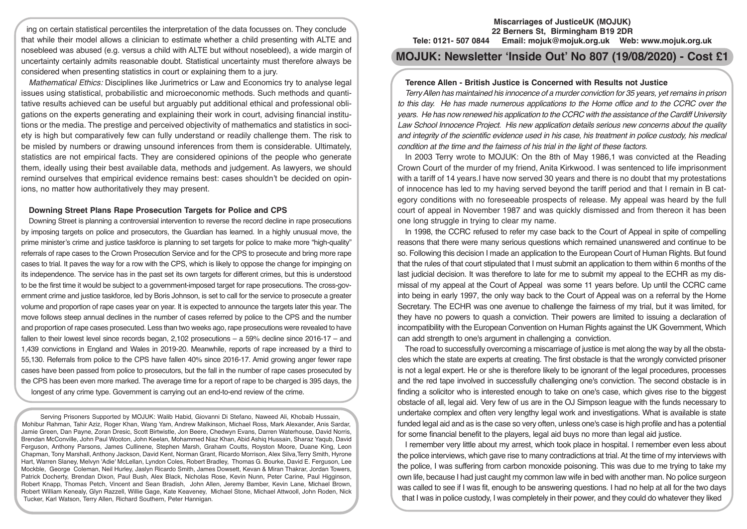ing on certain statistical percentiles the interpretation of the data focusses on. They conclude that while their model allows a clinician to estimate whether a child presenting with ALTE and nosebleed was abused (e.g. versus a child with ALTE but without nosebleed), a wide margin of uncertainty certainly admits reasonable doubt. Statistical uncertainty must therefore always be considered when presenting statistics in court or explaining them to a jury.

*Mathematical Ethics:* Disciplines like Jurimetrics or Law and Economics try to analyse legal issues using statistical, probabilistic and microeconomic methods. Such methods and quantitative results achieved can be useful but arguably put additional ethical and professional obligations on the experts generating and explaining their work in court, advising financial institutions or the media. The prestige and perceived objectivity of mathematics and statistics in society is high but comparatively few can fully understand or readily challenge them. The risk to be misled by numbers or drawing unsound inferences from them is considerable. Ultimately, statistics are not empirical facts. They are considered opinions of the people who generate them, ideally using their best available data, methods and judgement. As lawyers, we should remind ourselves that empirical evidence remains best: cases shouldn't be decided on opinions, no matter how authoritatively they may present.

## **Downing Street Plans Rape Prosecution Targets for Police and CPS**

Downing Street is planning a controversial intervention to reverse the record decline in rape prosecutions by imposing targets on police and prosecutors, the Guardian has learned. In a highly unusual move, the prime minister's crime and justice taskforce is planning to set targets for police to make more "high-quality" referrals of rape cases to the Crown Prosecution Service and for the CPS to prosecute and bring more rape cases to trial. It paves the way for a row with the CPS, which is likely to oppose the change for impinging on its independence. The service has in the past set its own targets for different crimes, but this is understood to be the first time it would be subject to a government-imposed target for rape prosecutions. The cross-government crime and justice taskforce, led by Boris Johnson, is set to call for the service to prosecute a greater volume and proportion of rape cases year on year. It is expected to announce the targets later this year. The move follows steep annual declines in the number of cases referred by police to the CPS and the number and proportion of rape cases prosecuted. Less than two weeks ago, rape prosecutions were revealed to have fallen to their lowest level since records began, 2,102 prosecutions – a 59% decline since 2016-17 – and 1,439 convictions in England and Wales in 2019-20. Meanwhile, reports of rape increased by a third to 55,130. Referrals from police to the CPS have fallen 40% since 2016-17. Amid growing anger fewer rape cases have been passed from police to prosecutors, but the fall in the number of rape cases prosecuted by the CPS has been even more marked. The average time for a report of rape to be charged is 395 days, the longest of any crime type. Government is carrying out an end-to-end review of the crime.

Serving Prisoners Supported by MOJUK: Walib Habid, Giovanni Di Stefano, Naweed Ali, Khobaib Hussain, Mohibur Rahman, Tahir Aziz, Roger Khan, Wang Yam, Andrew Malkinson, Michael Ross, Mark Alexander, Anis Sardar, Jamie Green, Dan Payne, Zoran Dresic, Scott Birtwistle, Jon Beere, Chedwyn Evans, Darren Waterhouse, David Norris, Brendan McConville, John Paul Wooton, John Keelan, Mohammed Niaz Khan, Abid Ashiq Hussain, Sharaz Yaqub, David Ferguson, Anthony Parsons, James Cullinene, Stephen Marsh, Graham Coutts, Royston Moore, Duane King, Leon Chapman, Tony Marshall, Anthony Jackson, David Kent, Norman Grant, Ricardo Morrison, Alex Silva,Terry Smith, Hyrone Hart, Warren Slaney, Melvyn 'Adie' McLellan, Lyndon Coles, Robert Bradley, Thomas G. Bourke, David E. Ferguson, Lee Mockble, George Coleman, Neil Hurley, Jaslyn Ricardo Smith, James Dowsett, Kevan & Miran Thakrar, Jordan Towers, Patrick Docherty, Brendan Dixon, Paul Bush, Alex Black, Nicholas Rose, Kevin Nunn, Peter Carine, Paul Higginson, Robert Knapp, Thomas Petch, Vincent and Sean Bradish, John Allen, Jeremy Bamber, Kevin Lane, Michael Brown, Robert William Kenealy, Glyn Razzell, Willie Gage, Kate Keaveney, Michael Stone, Michael Attwooll, John Roden, Nick Tucker, Karl Watson, Terry Allen, Richard Southern, Peter Hannigan.

#### **Miscarriages of JusticeUK (MOJUK) 22 Berners St, Birmingham B19 2DR**

**Tele: 0121- 507 0844 Email: mojuk@mojuk.org.uk Web: www.mojuk.org.uk**

# **MOJUK: Newsletter 'Inside Out' No 807 (19/08/2020) - Cost £1**

# **Terence Allen - British Justice is Concerned with Results not Justice**

*Terry Allen has maintained his innocence of a murder conviction for 35 years, yet remains in prison to this day. He has made numerous applications to the Home office and to the CCRC over the years. He has now renewed his application to the CCRC with the assistance of the Cardiff University Law School Innocence Project. His new application details serious new concerns about the quality and integrity of the scientific evidence used in his case, his treatment in police custody, his medical condition at the time and the fairness of his trial in the light of these factors.*

In 2003 Terry wrote to MOJUK: On the 8th of May 1986,1 was convicted at the Reading Crown Court of the murder of my friend, Anita Kirkwood. I was sentenced to life imprisonment with a tariff of 14 years.I have now served 30 years and there is no doubt that my protestations of innocence has led to my having served beyond the tariff period and that I remain in B category conditions with no foreseeable prospects of release. My appeal was heard by the full court of appeal in November 1987 and was quickly dismissed and from thereon it has been one long struggle in trying to clear my name.

In 1998, the CCRC refused to refer my case back to the Court of Appeal in spite of compelling reasons that there were many serious questions which remained unanswered and continue to be so. Following this decision I made an application to the European Court of Human Rights. But found that the rules of that court stipulated that I must submit an application to them within 6 months of the last judicial decision. It was therefore to late for me to submit my appeal to the ECHR as my dismissal of my appeal at the Court of Appeal was some 11 years before. Up until the CCRC came into being in early 1997, the only way back to the Court of Appeal was on a referral by the Home Secretary. The ECHR was one avenue to challenge the fairness of my trial, but it was limited, for they have no powers to quash a conviction. Their powers are limited to issuing a declaration of incompatibility with the European Convention on Human Rights against the UK Government, Which can add strength to one's argument in challenging a conviction.

The road to successfully overcoming a miscarriage of justice is met along the way by all the obstacles which the state are experts at creating. The first obstacle is that the wrongly convicted prisoner is not a legal expert. He or she is therefore likely to be ignorant of the legal procedures, processes and the red tape involved in successfully challenging one's conviction. The second obstacle is in finding a solicitor who is interested enough to take on one's case, which gives rise to the biggest obstacle of all, legal aid. Very few of us are in the OJ Simpson league with the funds necessary to undertake complex and often very lengthy legal work and investigations. What is available is state funded legal aid and as is the case so very often, unless one's case is high profile and has a potential for some financial benefit to the players, legal aid buys no more than legal aid justice.

I remember very little about my arrest, which took place in hospital. I remember even less about the police interviews, which gave rise to many contradictions at trial. At the time of my interviews with the police, I was suffering from carbon monoxide poisoning. This was due to me trying to take my own life, because I had just caught my common law wife in bed with another man. No police surgeon was called to see if I was fit, enough to be answering questions. I had no help at all for the two days that I was in police custody, I was completely in their power, and they could do whatever they liked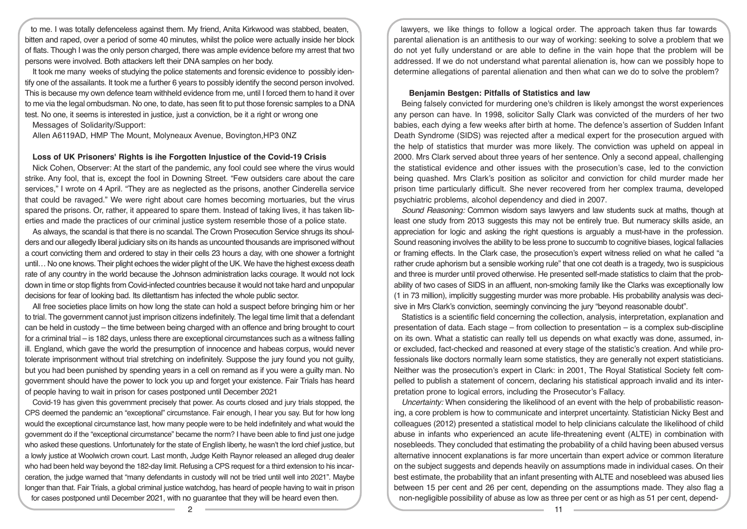to me. I was totally defenceless against them. My friend, Anita Kirkwood was stabbed, beaten, bitten and raped, over a period of some 40 minutes, whilst the police were actually inside her block of flats. Though I was the only person charged, there was ample evidence before my arrest that two persons were involved. Both attackers left their DNA samples on her body.

It took me many weeks of studying the police statements and forensic evidence to possibly identify one of the assailants. It took me a further 6 years to possibly identify the second person involved. This is because my own defence team withheld evidence from me, until I forced them to hand it over to me via the legal ombudsman. No one, to date, has seen fit to put those forensic samples to a DNA test. No one, it seems is interested in justice, just a conviction, be it a right or wrong one

Messages of Solidarity/Support:

Allen A6119AD, HMP The Mount, Molyneaux Avenue, Bovington,HP3 0NZ

## **Loss of UK Prisoners' Rights is ihe Forgotten Injustice of the Covid-19 Crisis**

Nick Cohen, Observer: At the start of the pandemic, any fool could see where the virus would strike. Any fool, that is, except the fool in Downing Street. "Few outsiders care about the care services," I wrote on 4 April. "They are as neglected as the prisons, another Cinderella service that could be ravaged." We were right about care homes becoming mortuaries, but the virus spared the prisons. Or, rather, it appeared to spare them. Instead of taking lives, it has taken liberties and made the practices of our criminal justice system resemble those of a police state.

As always, the scandal is that there is no scandal. The Crown Prosecution Service shrugs its shoulders and our allegedly liberal judiciary sits on its hands as uncounted thousands are imprisoned without a court convicting them and ordered to stay in their cells 23 hours a day, with one shower a fortnight until… No one knows. Their plight echoes the wider plight of the UK. We have the highest excess death rate of any country in the world because the Johnson administration lacks courage. It would not lock down in time or stop flights from Covid-infected countries because it would not take hard and unpopular decisions for fear of looking bad. Its dilettantism has infected the whole public sector.

All free societies place limits on how long the state can hold a suspect before bringing him or her to trial. The government cannot just imprison citizens indefinitely. The legal time limit that a defendant can be held in custody – the time between being charged with an offence and bring brought to court for a criminal trial – is 182 days, unless there are exceptional circumstances such as a witness falling ill. England, which gave the world the presumption of innocence and habeas corpus, would never tolerate imprisonment without trial stretching on indefinitely. Suppose the jury found you not guilty, but you had been punished by spending years in a cell on remand as if you were a guilty man. No government should have the power to lock you up and forget your existence. Fair Trials has heard of people having to wait in prison for cases postponed until December 2021

Covid-19 has given this government precisely that power. As courts closed and jury trials stopped, the CPS deemed the pandemic an "exceptional" circumstance. Fair enough, I hear you say. But for how long would the exceptional circumstance last, how many people were to be held indefinitely and what would the government do if the "exceptional circumstance" became the norm? I have been able to find just one judge who asked these questions. Unfortunately for the state of English liberty, he wasn't the lord chief justice, but a lowly justice at Woolwich crown court. Last month, Judge Keith Raynor released an alleged drug dealer who had been held way beyond the 182-day limit. Refusing a CPS request for a third extension to his incarceration, the judge warned that "many defendants in custody will not be tried until well into 2021". Maybe longer than that. Fair Trials, a global criminal justice watchdog, has heard of people having to wait in prison for cases postponed until December 2021, with no guarantee that they will be heard even then.

lawyers, we like things to follow a logical order. The approach taken thus far towards parental alienation is an antithesis to our way of working: seeking to solve a problem that we do not yet fully understand or are able to define in the vain hope that the problem will be addressed. If we do not understand what parental alienation is, how can we possibly hope to determine allegations of parental alienation and then what can we do to solve the problem?

## **Benjamin Bestgen: Pitfalls of Statistics and law**

Being falsely convicted for murdering one's children is likely amongst the worst experiences any person can have. In 1998, solicitor Sally Clark was convicted of the murders of her two babies, each dying a few weeks after birth at home. The defence's assertion of Sudden Infant Death Syndrome (SIDS) was rejected after a medical expert for the prosecution argued with the help of statistics that murder was more likely. The conviction was upheld on appeal in 2000. Mrs Clark served about three years of her sentence. Only a second appeal, challenging the statistical evidence and other issues with the prosecution's case, led to the conviction being quashed. Mrs Clark's position as solicitor and conviction for child murder made her prison time particularly difficult. She never recovered from her complex trauma, developed psychiatric problems, alcohol dependency and died in 2007.

*Sound Reasoning:* Common wisdom says lawyers and law students suck at maths, though at least one study from 2013 suggests this may not be entirely true. But numeracy skills aside, an appreciation for logic and asking the right questions is arguably a must-have in the profession. Sound reasoning involves the ability to be less prone to succumb to cognitive biases, logical fallacies or framing effects. In the Clark case, the prosecution's expert witness relied on what he called "a rather crude aphorism but a sensible working rule" that one cot death is a tragedy, two is suspicious and three is murder until proved otherwise. He presented self-made statistics to claim that the probability of two cases of SIDS in an affluent, non-smoking family like the Clarks was exceptionally low (1 in 73 million), implicitly suggesting murder was more probable. His probability analysis was decisive in Mrs Clark's conviction, seemingly convincing the jury "beyond reasonable doubt".

Statistics is a scientific field concerning the collection, analysis, interpretation, explanation and presentation of data. Each stage – from collection to presentation – is a complex sub-discipline on its own. What a statistic can really tell us depends on what exactly was done, assumed, inor excluded, fact-checked and reasoned at every stage of the statistic's creation. And while professionals like doctors normally learn some statistics, they are generally not expert statisticians. Neither was the prosecution's expert in Clark: in 2001, The Royal Statistical Society felt compelled to publish a statement of concern, declaring his statistical approach invalid and its interpretation prone to logical errors, including the Prosecutor's Fallacy.

*Uncertainty:* When considering the likelihood of an event with the help of probabilistic reasoning, a core problem is how to communicate and interpret uncertainty. Statistician Nicky Best and colleagues (2012) presented a statistical model to help clinicians calculate the likelihood of child abuse in infants who experienced an acute life-threatening event (ALTE) in combination with nosebleeds. They concluded that estimating the probability of a child having been abused versus alternative innocent explanations is far more uncertain than expert advice or common literature on the subject suggests and depends heavily on assumptions made in individual cases. On their best estimate, the probability that an infant presenting with ALTE and nosebleed was abused lies between 15 per cent and 26 per cent, depending on the assumptions made. They also flag a non-negligible possibility of abuse as low as three per cent or as high as 51 per cent, depend-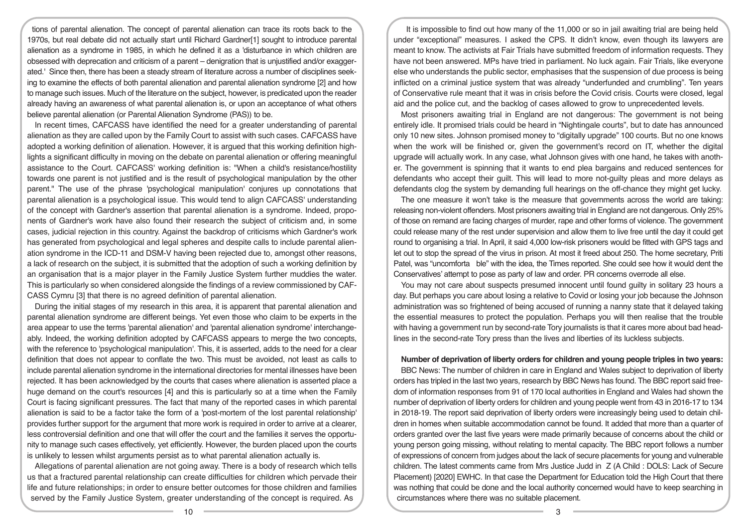tions of parental alienation. The concept of parental alienation can trace its roots back to the 1970s, but real debate did not actually start until Richard Gardner[1] sought to introduce parental alienation as a syndrome in 1985, in which he defined it as a 'disturbance in which children are obsessed with deprecation and criticism of a parent – denigration that is unjustified and/or exaggerated.' Since then, there has been a steady stream of literature across a number of disciplines seeking to examine the effects of both parental alienation and parental alienation syndrome [2] and how to manage such issues. Much of the literature on the subject, however, is predicated upon the reader already having an awareness of what parental alienation is, or upon an acceptance of what others believe parental alienation (or Parental Alienation Syndrome (PAS)) to be.

In recent times, CAFCASS have identified the need for a greater understanding of parental alienation as they are called upon by the Family Court to assist with such cases. CAFCASS have adopted a working definition of alienation. However, it is argued that this working definition highlights a significant difficulty in moving on the debate on parental alienation or offering meaningful assistance to the Court. CAFCASS' working definition is: "When a child's resistance/hostility towards one parent is not justified and is the result of psychological manipulation by the other parent." The use of the phrase 'psychological manipulation' conjures up connotations that parental alienation is a psychological issue. This would tend to align CAFCASS' understanding of the concept with Gardner's assertion that parental alienation is a syndrome. Indeed, proponents of Gardner's work have also found their research the subject of criticism and, in some cases, judicial rejection in this country. Against the backdrop of criticisms which Gardner's work has generated from psychological and legal spheres and despite calls to include parental alienation syndrome in the ICD-11 and DSM-V having been rejected due to, amongst other reasons, a lack of research on the subject, it is submitted that the adoption of such a working definition by an organisation that is a major player in the Family Justice System further muddies the water. This is particularly so when considered alongside the findings of a review commissioned by CAF-CASS Cymru [3] that there is no agreed definition of parental alienation.

During the initial stages of my research in this area, it is apparent that parental alienation and parental alienation syndrome are different beings. Yet even those who claim to be experts in the area appear to use the terms 'parental alienation' and 'parental alienation syndrome' interchangeably. Indeed, the working definition adopted by CAFCASS appears to merge the two concepts, with the reference to 'psychological manipulation'. This, it is asserted, adds to the need for a clear definition that does not appear to conflate the two. This must be avoided, not least as calls to include parental alienation syndrome in the international directories for mental illnesses have been rejected. It has been acknowledged by the courts that cases where alienation is asserted place a huge demand on the court's resources [4] and this is particularly so at a time when the Family Court is facing significant pressures. The fact that many of the reported cases in which parental alienation is said to be a factor take the form of a 'post-mortem of the lost parental relationship' provides further support for the argument that more work is required in order to arrive at a clearer, less controversial definition and one that will offer the court and the families it serves the opportunity to manage such cases effectively, yet efficiently. However, the burden placed upon the courts is unlikely to lessen whilst arguments persist as to what parental alienation actually is.

Allegations of parental alienation are not going away. There is a body of research which tells us that a fractured parental relationship can create difficulties for children which pervade their life and future relationships; in order to ensure better outcomes for those children and families served by the Family Justice System, greater understanding of the concept is required. As

It is impossible to find out how many of the 11,000 or so in jail awaiting trial are being held under "exceptional" measures. I asked the CPS. It didn't know, even though its lawyers are meant to know. The activists at Fair Trials have submitted freedom of information requests. They have not been answered. MPs have tried in parliament. No luck again. Fair Trials, like everyone else who understands the public sector, emphasises that the suspension of due process is being inflicted on a criminal justice system that was already "underfunded and crumbling". Ten years of Conservative rule meant that it was in crisis before the Covid crisis. Courts were closed, legal aid and the police cut, and the backlog of cases allowed to grow to unprecedented levels.

Most prisoners awaiting trial in England are not dangerous: The government is not being entirely idle. It promised trials could be heard in "Nightingale courts", but to date has announced only 10 new sites. Johnson promised money to "digitally upgrade" 100 courts. But no one knows when the work will be finished or, given the government's record on IT, whether the digital upgrade will actually work. In any case, what Johnson gives with one hand, he takes with another. The government is spinning that it wants to end plea bargains and reduced sentences for defendants who accept their guilt. This will lead to more not-guilty pleas and more delays as defendants clog the system by demanding full hearings on the off-chance they might get lucky.

The one measure it won't take is the measure that governments across the world are taking: releasing non-violent offenders. Most prisoners awaiting trial in England are not dangerous. Only 25% of those on remand are facing charges of murder, rape and other forms of violence. The government could release many of the rest under supervision and allow them to live free until the day it could get round to organising a trial. In April, it said 4,000 low-risk prisoners would be fitted with GPS tags and let out to stop the spread of the virus in prison. At most it freed about 250. The home secretary, Priti Patel, was "uncomforta ble" with the idea, the Times reported. She could see how it would dent the Conservatives' attempt to pose as party of law and order. PR concerns overrode all else.

You may not care about suspects presumed innocent until found guilty in solitary 23 hours a day. But perhaps you care about losing a relative to Covid or losing your job because the Johnson administration was so frightened of being accused of running a nanny state that it delayed taking the essential measures to protect the population. Perhaps you will then realise that the trouble with having a government run by second-rate Tory journalists is that it cares more about bad headlines in the second-rate Tory press than the lives and liberties of its luckless subjects.

**Number of deprivation of liberty orders for children and young people triples in two years:**

BBC News: The number of children in care in England and Wales subject to deprivation of liberty orders has tripled in the last two years, research by BBC News has found. The BBC report said freedom of information responses from 91 of 170 local authorities in England and Wales had shown the number of deprivation of liberty orders for children and young people went from 43 in 2016-17 to 134 in 2018-19. The report said deprivation of liberty orders were increasingly being used to detain children in homes when suitable accommodation cannot be found. It added that more than a quarter of orders granted over the last five years were made primarily because of concerns about the child or young person going missing, without relating to mental capacity. The BBC report follows a number of expressions of concern from judges about the lack of secure placements for young and vulnerable children. The latest comments came from Mrs Justice Judd in Z (A Child : DOLS: Lack of Secure Placement) [2020] EWHC. In that case the Department for Education told the High Court that there was nothing that could be done and the local authority concerned would have to keep searching in circumstances where there was no suitable placement.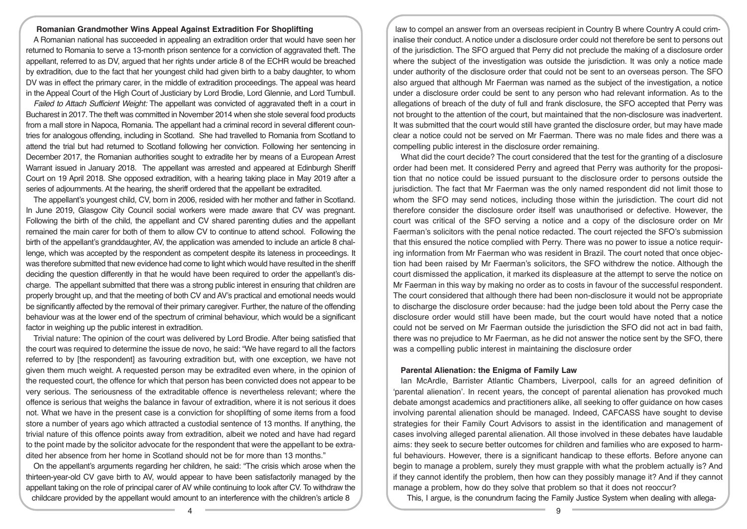### **Romanian Grandmother Wins Appeal Against Extradition For Shoplifting**

A Romanian national has succeeded in appealing an extradition order that would have seen her returned to Romania to serve a 13-month prison sentence for a conviction of aggravated theft. The appellant, referred to as DV, argued that her rights under article 8 of the ECHR would be breached by extradition, due to the fact that her youngest child had given birth to a baby daughter, to whom DV was in effect the primary carer, in the middle of extradition proceedings. The appeal was heard in the Appeal Court of the High Court of Justiciary by Lord Brodie, Lord Glennie, and Lord Turnbull.

*Failed to Attach Sufficient Weight:* The appellant was convicted of aggravated theft in a court in Bucharest in 2017. The theft was committed in November 2014 when she stole several food products from a mall store in Napoca, Romania. The appellant had a criminal record in several different countries for analogous offending, including in Scotland. She had travelled to Romania from Scotland to attend the trial but had returned to Scotland following her conviction. Following her sentencing in December 2017, the Romanian authorities sought to extradite her by means of a European Arrest Warrant issued in January 2018. The appellant was arrested and appeared at Edinburgh Sheriff Court on 19 April 2018. She opposed extradition, with a hearing taking place in May 2019 after a series of adjournments. At the hearing, the sheriff ordered that the appellant be extradited.

The appellant's youngest child, CV, born in 2006, resided with her mother and father in Scotland. In June 2019, Glasgow City Council social workers were made aware that CV was pregnant. Following the birth of the child, the appellant and CV shared parenting duties and the appellant remained the main carer for both of them to allow CV to continue to attend school. Following the birth of the appellant's granddaughter, AV, the application was amended to include an article 8 challenge, which was accepted by the respondent as competent despite its lateness in proceedings. It was therefore submitted that new evidence had come to light which would have resulted in the sheriff deciding the question differently in that he would have been required to order the appellant's discharge. The appellant submitted that there was a strong public interest in ensuring that children are properly brought up, and that the meeting of both CV and AV's practical and emotional needs would be significantly affected by the removal of their primary caregiver. Further, the nature of the offending behaviour was at the lower end of the spectrum of criminal behaviour, which would be a significant factor in weighing up the public interest in extradition.

Trivial nature: The opinion of the court was delivered by Lord Brodie. After being satisfied that the court was required to determine the issue de novo, he said: "We have regard to all the factors referred to by [the respondent] as favouring extradition but, with one exception, we have not given them much weight. A requested person may be extradited even where, in the opinion of the requested court, the offence for which that person has been convicted does not appear to be very serious. The seriousness of the extraditable offence is nevertheless relevant; where the offence is serious that weighs the balance in favour of extradition, where it is not serious it does not. What we have in the present case is a conviction for shoplifting of some items from a food store a number of years ago which attracted a custodial sentence of 13 months. If anything, the trivial nature of this offence points away from extradition, albeit we noted and have had regard to the point made by the solicitor advocate for the respondent that were the appellant to be extradited her absence from her home in Scotland should not be for more than 13 months."

On the appellant's arguments regarding her children, he said: "The crisis which arose when the thirteen-year-old CV gave birth to AV, would appear to have been satisfactorily managed by the appellant taking on the role of principal carer of AV while continuing to look after CV. To withdraw the childcare provided by the appellant would amount to an interference with the children's article 8

law to compel an answer from an overseas recipient in Country B where Country A could criminalise their conduct. A notice under a disclosure order could not therefore be sent to persons out of the jurisdiction. The SFO argued that Perry did not preclude the making of a disclosure order where the subject of the investigation was outside the jurisdiction. It was only a notice made under authority of the disclosure order that could not be sent to an overseas person. The SFO also argued that although Mr Faerman was named as the subject of the investigation, a notice under a disclosure order could be sent to any person who had relevant information. As to the allegations of breach of the duty of full and frank disclosure, the SFO accepted that Perry was not brought to the attention of the court, but maintained that the non-disclosure was inadvertent. It was submitted that the court would still have granted the disclosure order, but may have made clear a notice could not be served on Mr Faerman. There was no male fides and there was a compelling public interest in the disclosure order remaining.

What did the court decide? The court considered that the test for the granting of a disclosure order had been met. It considered Perry and agreed that Perry was authority for the proposition that no notice could be issued pursuant to the disclosure order to persons outside the jurisdiction. The fact that Mr Faerman was the only named respondent did not limit those to whom the SFO may send notices, including those within the jurisdiction. The court did not therefore consider the disclosure order itself was unauthorised or defective. However, the court was critical of the SFO serving a notice and a copy of the disclosure order on Mr Faerman's solicitors with the penal notice redacted. The court rejected the SFO's submission that this ensured the notice complied with Perry. There was no power to issue a notice requiring information from Mr Faerman who was resident in Brazil. The court noted that once objection had been raised by Mr Faerman's solicitors, the SFO withdrew the notice. Although the court dismissed the application, it marked its displeasure at the attempt to serve the notice on Mr Faerman in this way by making no order as to costs in favour of the successful respondent. The court considered that although there had been non-disclosure it would not be appropriate to discharge the disclosure order because: had the judge been told about the Perry case the disclosure order would still have been made, but the court would have noted that a notice could not be served on Mr Faerman outside the jurisdiction the SFO did not act in bad faith, there was no prejudice to Mr Faerman, as he did not answer the notice sent by the SFO, there was a compelling public interest in maintaining the disclosure order

#### **Parental Alienation: the Enigma of Family Law**

Ian McArdle, Barrister Atlantic Chambers, Liverpool, calls for an agreed definition of 'parental alienation'. In recent years, the concept of parental alienation has provoked much debate amongst academics and practitioners alike, all seeking to offer guidance on how cases involving parental alienation should be managed. Indeed, CAFCASS have sought to devise strategies for their Family Court Advisors to assist in the identification and management of cases involving alleged parental alienation. All those involved in these debates have laudable aims: they seek to secure better outcomes for children and families who are exposed to harmful behaviours. However, there is a significant handicap to these efforts. Before anyone can begin to manage a problem, surely they must grapple with what the problem actually is? And if they cannot identify the problem, then how can they possibly manage it? And if they cannot manage a problem, how do they solve that problem so that it does not reoccur?

This, I argue, is the conundrum facing the Family Justice System when dealing with allega-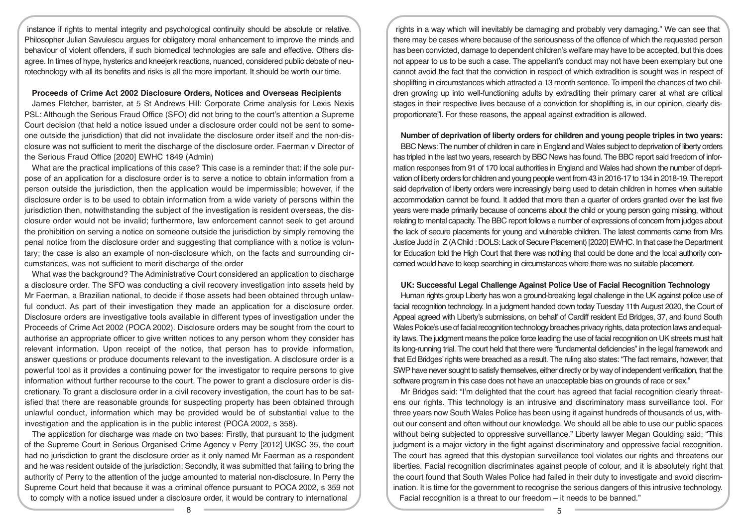instance if rights to mental integrity and psychological continuity should be absolute or relative. Philosopher Julian Savulescu argues for obligatory moral enhancement to improve the minds and behaviour of violent offenders, if such biomedical technologies are safe and effective. Others disagree. In times of hype, hysterics and kneejerk reactions, nuanced, considered public debate of neurotechnology with all its benefits and risks is all the more important. It should be worth our time.

## **Proceeds of Crime Act 2002 Disclosure Orders, Notices and Overseas Recipients**

James Fletcher, barrister, at 5 St Andrews Hill: Corporate Crime analysis for Lexis Nexis PSL: Although the Serious Fraud Office (SFO) did not bring to the court's attention a Supreme Court decision (that held a notice issued under a disclosure order could not be sent to someone outside the jurisdiction) that did not invalidate the disclosure order itself and the non-disclosure was not sufficient to merit the discharge of the disclosure order. Faerman v Director of the Serious Fraud Office [2020] EWHC 1849 (Admin)

What are the practical implications of this case? This case is a reminder that: if the sole purpose of an application for a disclosure order is to serve a notice to obtain information from a person outside the jurisdiction, then the application would be impermissible; however, if the disclosure order is to be used to obtain information from a wide variety of persons within the jurisdiction then, notwithstanding the subject of the investigation is resident overseas, the disclosure order would not be invalid; furthermore, law enforcement cannot seek to get around the prohibition on serving a notice on someone outside the jurisdiction by simply removing the penal notice from the disclosure order and suggesting that compliance with a notice is voluntary; the case is also an example of non-disclosure which, on the facts and surrounding circumstances, was not sufficient to merit discharge of the order

What was the background? The Administrative Court considered an application to discharge a disclosure order. The SFO was conducting a civil recovery investigation into assets held by Mr Faerman, a Brazilian national, to decide if those assets had been obtained through unlawful conduct. As part of their investigation they made an application for a disclosure order. Disclosure orders are investigative tools available in different types of investigation under the Proceeds of Crime Act 2002 (POCA 2002). Disclosure orders may be sought from the court to authorise an appropriate officer to give written notices to any person whom they consider has relevant information. Upon receipt of the notice, that person has to provide information, answer questions or produce documents relevant to the investigation. A disclosure order is a powerful tool as it provides a continuing power for the investigator to require persons to give information without further recourse to the court. The power to grant a disclosure order is discretionary. To grant a disclosure order in a civil recovery investigation, the court has to be satisfied that there are reasonable grounds for suspecting property has been obtained through unlawful conduct, information which may be provided would be of substantial value to the investigation and the application is in the public interest (POCA 2002, s 358).

The application for discharge was made on two bases: Firstly, that pursuant to the judgment of the Supreme Court in Serious Organised Crime Agency v Perry [2012] UKSC 35, the court had no jurisdiction to grant the disclosure order as it only named Mr Faerman as a respondent and he was resident outside of the jurisdiction: Secondly, it was submitted that failing to bring the authority of Perry to the attention of the judge amounted to material non-disclosure. In Perry the Supreme Court held that because it was a criminal offence pursuant to POCA 2002, s 359 not to comply with a notice issued under a disclosure order, it would be contrary to international

rights in a way which will inevitably be damaging and probably very damaging." We can see that there may be cases where because of the seriousness of the offence of which the requested person has been convicted, damage to dependent children's welfare may have to be accepted, but this does not appear to us to be such a case. The appellant's conduct may not have been exemplary but one cannot avoid the fact that the conviction in respect of which extradition is sought was in respect of shoplifting in circumstances which attracted a 13 month sentence. To imperil the chances of two children growing up into well-functioning adults by extraditing their primary carer at what are critical stages in their respective lives because of a conviction for shoplifting is, in our opinion, clearly disproportionate"l. For these reasons, the appeal against extradition is allowed.

# **Number of deprivation of liberty orders for children and young people triples in two years:**

BBC News: The number of children in care in England and Wales subject to deprivation of liberty orders has tripled in the last two years, research by BBC News has found. The BBC report said freedom of information responses from 91 of 170 local authorities in England and Wales had shown the number of deprivation of liberty orders for children and young people went from 43 in 2016-17 to 134 in 2018-19. The report said deprivation of liberty orders were increasingly being used to detain children in homes when suitable accommodation cannot be found. It added that more than a quarter of orders granted over the last five years were made primarily because of concerns about the child or young person going missing, without relating to mental capacity. The BBC report follows a number of expressions of concern from judges about the lack of secure placements for young and vulnerable children. The latest comments came from Mrs Justice Judd in Z (A Child : DOLS: Lack of Secure Placement) [2020] EWHC. In that case the Department for Education told the High Court that there was nothing that could be done and the local authority concerned would have to keep searching in circumstances where there was no suitable placement.

#### **UK: Successful Legal Challenge Against Police Use of Facial Recognition Technology**

Human rights group Liberty has won a ground-breaking legal challenge in the UK against police use of facial recognition technology. In a judgment handed down today Tuesday 11th August 2020, the Court of Appeal agreed with Liberty's submissions, on behalf of Cardiff resident Ed Bridges, 37, and found South Wales Police's use of facial recognition technology breaches privacy rights, data protection laws and equality laws. The judgment means the police force leading the use of facial recognition on UK streets must halt its long-running trial. The court held that there were "fundamental deficiencies" in the legal framework and that Ed Bridges' rights were breached as a result. The ruling also states: "The fact remains, however, that SWP have never sought to satisfy themselves, either directly or by way of independent verification, that the software program in this case does not have an unacceptable bias on grounds of race or sex."

Mr Bridges said: "I'm delighted that the court has agreed that facial recognition clearly threatens our rights. This technology is an intrusive and discriminatory mass surveillance tool. For three years now South Wales Police has been using it against hundreds of thousands of us, without our consent and often without our knowledge. We should all be able to use our public spaces without being subjected to oppressive surveillance." Liberty lawyer Megan Goulding said: "This judgment is a major victory in the fight against discriminatory and oppressive facial recognition. The court has agreed that this dystopian surveillance tool violates our rights and threatens our liberties. Facial recognition discriminates against people of colour, and it is absolutely right that the court found that South Wales Police had failed in their duty to investigate and avoid discrimination. It is time for the government to recognise the serious dangers of this intrusive technology. Facial recognition is a threat to our freedom – it needs to be banned."